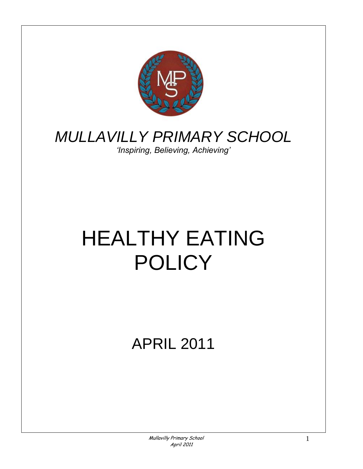

# *MULLAVILLY PRIMARY SCHOOL*

*'Inspiring, Believing, Achieving'*

# HEALTHY EATING POLICY

APRIL 2011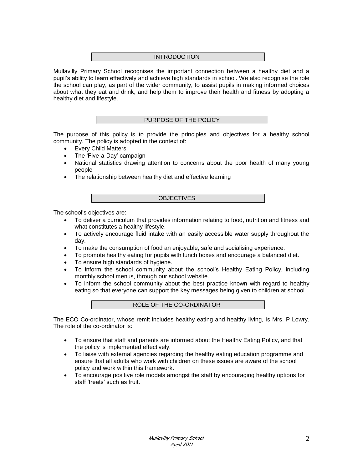# INTRODUCTION

Mullavilly Primary School recognises the important connection between a healthy diet and a pupil's ability to learn effectively and achieve high standards in school. We also recognise the role the school can play, as part of the wider community, to assist pupils in making informed choices about what they eat and drink, and help them to improve their health and fitness by adopting a healthy diet and lifestyle.

#### PURPOSE OF THE POLICY

The purpose of this policy is to provide the principles and objectives for a healthy school community. The policy is adopted in the context of:

- Every Child Matters
- The 'Five-a-Day' campaign
- National statistics drawing attention to concerns about the poor health of many young people
- The relationship between healthy diet and effective learning

**OBJECTIVES** 

The school's objectives are:

- To deliver a curriculum that provides information relating to food, nutrition and fitness and what constitutes a healthy lifestyle.
- To actively encourage fluid intake with an easily accessible water supply throughout the day.
- To make the consumption of food an enjoyable, safe and socialising experience.
- To promote healthy eating for pupils with lunch boxes and encourage a balanced diet.
- To ensure high standards of hygiene.
- To inform the school community about the school's Healthy Eating Policy, including monthly school menus, through our school website.
- To inform the school community about the best practice known with regard to healthy eating so that everyone can support the key messages being given to children at school.

The ECO Co-ordinator, whose remit includes healthy eating and healthy living, is Mrs. P Lowry. The role of the co-ordinator is:

- To ensure that staff and parents are informed about the Healthy Eating Policy, and that the policy is implemented effectively.
- To liaise with external agencies regarding the healthy eating education programme and ensure that all adults who work with children on these issues are aware of the school policy and work within this framework.
- To encourage positive role models amongst the staff by encouraging healthy options for staff 'treats' such as fruit.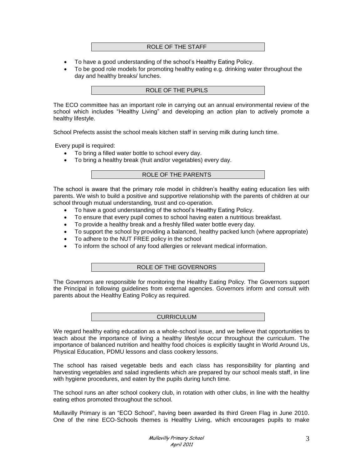#### ROLE OF THE STAFF

- To have a good understanding of the school's Healthy Eating Policy.
- To be good role models for promoting healthy eating e.g. drinking water throughout the day and healthy breaks/ lunches.

# ROLE OF THE PUPILS

The ECO committee has an important role in carrying out an annual environmental review of the school which includes "Healthy Living" and developing an action plan to actively promote a healthy lifestyle.

School Prefects assist the school meals kitchen staff in serving milk during lunch time.

Every pupil is required:

- To bring a filled water bottle to school every day.
- To bring a healthy break (fruit and/or vegetables) every day.

#### ROLE OF THE PARENTS

The school is aware that the primary role model in children's healthy eating education lies with parents. We wish to build a positive and supportive relationship with the parents of children at our school through mutual understanding, trust and co-operation.

- To have a good understanding of the school's Healthy Eating Policy.
- To ensure that every pupil comes to school having eaten a nutritious breakfast.
- To provide a healthy break and a freshly filled water bottle every day.
- To support the school by providing a balanced, healthy packed lunch (where appropriate)
- To adhere to the NUT FREE policy in the school
- To inform the school of any food allergies or relevant medical information.

#### ROLE OF THE GOVERNORS

The Governors are responsible for monitoring the Healthy Eating Policy. The Governors support the Principal in following guidelines from external agencies. Governors inform and consult with parents about the Healthy Eating Policy as required.

#### CURRICULUM

We regard healthy eating education as a whole-school issue, and we believe that opportunities to teach about the importance of living a healthy lifestyle occur throughout the curriculum. The importance of balanced nutrition and healthy food choices is explicitly taught in World Around Us, Physical Education, PDMU lessons and class cookery lessons.

The school has raised vegetable beds and each class has responsibility for planting and harvesting vegetables and salad ingredients which are prepared by our school meals staff, in line with hygiene procedures, and eaten by the pupils during lunch time.

The school runs an after school cookery club, in rotation with other clubs, in line with the healthy eating ethos promoted throughout the school.

Mullavilly Primary is an "ECO School", having been awarded its third Green Flag in June 2010. One of the nine ECO-Schools themes is Healthy Living, which encourages pupils to make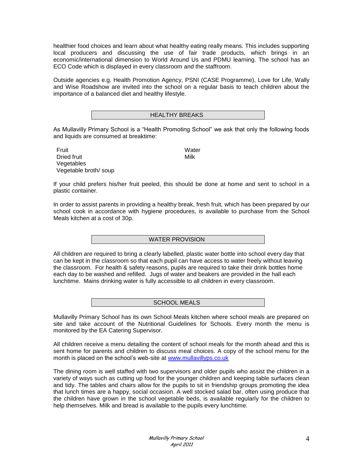healthier food choices and learn about what healthy eating really means. This includes supporting local producers and discussing the use of fair trade products, which brings in an economic/international dimension to World Around Us and PDMU learning. The school has an ECO Code which is displayed in every classroom and the staffroom.

Outside agencies e.g. Health Promotion Agency, PSNI (CASE Programme), Love for Life, Wally and Wise Roadshow are invited into the school on a regular basis to teach children about the importance of a balanced diet and healthy lifestyle.

| <b>DREANS</b><br>____ |
|-----------------------|
|-----------------------|

As Mullavilly Primary School is a "Health Promoting School" we ask that only the following foods and liquids are consumed at breaktime:

**Fruit** Water Dried fruit Nilk Vegetables Vegetable broth/ soup

If your child prefers his/her fruit peeled, this should be done at home and sent to school in a plastic container.

In order to assist parents in providing a healthy break, fresh fruit, which has been prepared by our school cook in accordance with hygiene procedures, is available to purchase from the School Meals kitchen at a cost of 30p.

# WATER PROVISION

All children are required to bring a clearly labelled, plastic water bottle into school every day that can be kept in the classroom so that each pupil can have access to water freely without leaving the classroom. For health & safety reasons, pupils are required to take their drink bottles home each day to be washed and refilled. Jugs of water and beakers are provided in the hall each lunchtime. Mains drinking water is fully accessible to all children in every classroom.

# SCHOOL MEALS

Mullavilly Primary School has its own School Meals kitchen where school meals are prepared on site and take account of the Nutritional Guidelines for Schools. Every month the menu is monitored by the EA Catering Supervisor.

All children receive a menu detailing the content of school meals for the month ahead and this is sent home for parents and children to discuss meal choices. A copy of the school menu for the month is placed on the school's web-site at [www.mullavillyps.co.uk](http://www.mullavillyps.co.uk/)

The dining room is well staffed with two supervisors and older pupils who assist the children in a variety of ways such as cutting up food for the younger children and keeping table surfaces clean and tidy. The tables and chairs allow for the pupils to sit in friendship groups promoting the idea that lunch times are a happy, social occasion. A well stocked salad bar, often using produce that the children have grown in the school vegetable beds, is available regularly for the children to help themselves. Milk and bread is available to the pupils every lunchtime.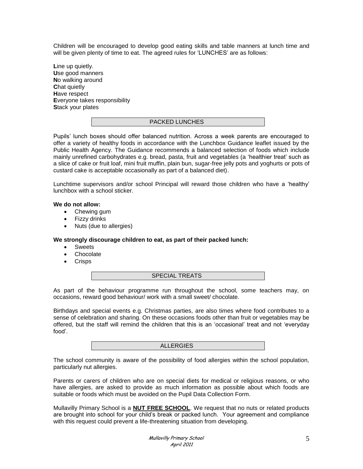Children will be encouraged to develop good eating skills and table manners at lunch time and will be given plenty of time to eat. The agreed rules for 'LUNCHES' are as follows:

**L**ine up quietly. **U**se good manners **N**o walking around **C**hat quietly **H**ave respect **E**veryone takes responsibility **S**tack your plates

#### PACKED LUNCHES

Pupils' lunch boxes should offer balanced nutrition. Across a week parents are encouraged to offer a variety of healthy foods in accordance with the Lunchbox Guidance leaflet issued by the Public Health Agency. The Guidance recommends a balanced selection of foods which include mainly unrefined carbohydrates e.g. bread, pasta, fruit and vegetables (a 'healthier treat' such as a slice of cake or fruit loaf, mini fruit muffin, plain bun, sugar-free jelly pots and yoghurts or pots of custard cake is acceptable occasionally as part of a balanced diet).

Lunchtime supervisors and/or school Principal will reward those children who have a 'healthy' lunchbox with a school sticker.

#### **We do not allow:**

- Chewing gum
- Fizzy drinks
- Nuts (due to allergies)

#### **We strongly discourage children to eat, as part of their packed lunch:**

- Sweets
- Chocolate
- Crisps

SPECIAL TREATS

As part of the behaviour programme run throughout the school, some teachers may, on occasions, reward good behaviour/ work with a small sweet/ chocolate.

Birthdays and special events e.g. Christmas parties, are also times where food contributes to a sense of celebration and sharing. On these occasions foods other than fruit or vegetables may be offered, but the staff will remind the children that this is an 'occasional' treat and not 'everyday food'.

#### ALLERGIES

The school community is aware of the possibility of food allergies within the school population, particularly nut allergies.

Parents or carers of children who are on special diets for medical or religious reasons, or who have allergies, are asked to provide as much information as possible about which foods are suitable or foods which must be avoided on the Pupil Data Collection Form.

Mullavilly Primary School is a **NUT FREE SCHOOL**. We request that no nuts or related products are brought into school for your child's break or packed lunch. Your agreement and compliance with this request could prevent a life-threatening situation from developing.